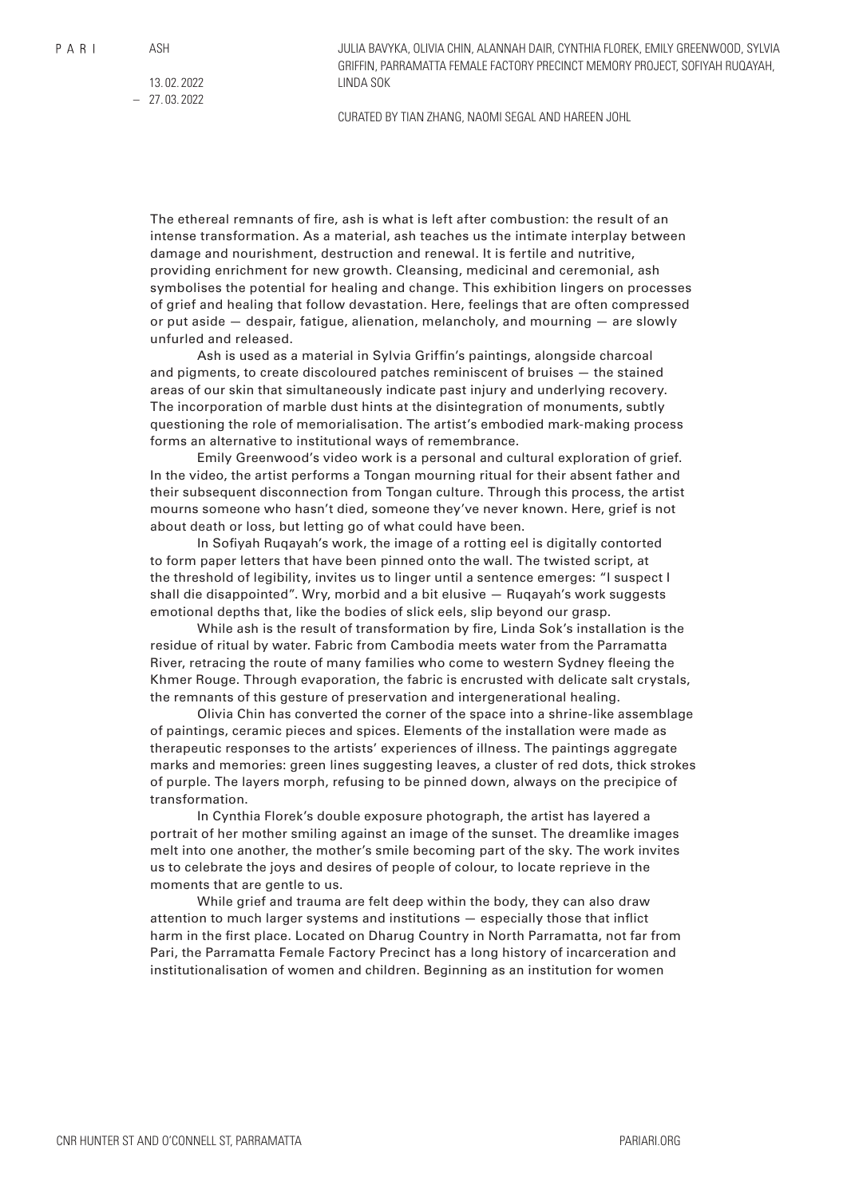JULIA BAVYKA, OLIVIA CHIN, ALANNAH DAIR, CYNTHIA FLOREK, EMILY GREENWOOD, SYLVIA GRIFFIN, PARRAMATTA FEMALE FACTORY PRECINCT MEMORY PROJECT, SOFIYAH RUQAYAH, LINDA SOK

13. 02. 2022 – 27. 03. 2022

CURATED BY TIAN ZHANG, NAOMI SEGAL AND HAREEN JOHL

The ethereal remnants of fire, ash is what is left after combustion: the result of an intense transformation. As a material, ash teaches us the intimate interplay between damage and nourishment, destruction and renewal. It is fertile and nutritive, providing enrichment for new growth. Cleansing, medicinal and ceremonial, ash symbolises the potential for healing and change. This exhibition lingers on processes of grief and healing that follow devastation. Here, feelings that are often compressed or put aside — despair, fatigue, alienation, melancholy, and mourning — are slowly unfurled and released.

Ash is used as a material in Sylvia Griffin's paintings, alongside charcoal and pigments, to create discoloured patches reminiscent of bruises — the stained areas of our skin that simultaneously indicate past injury and underlying recovery. The incorporation of marble dust hints at the disintegration of monuments, subtly questioning the role of memorialisation. The artist's embodied mark-making process forms an alternative to institutional ways of remembrance.

Emily Greenwood's video work is a personal and cultural exploration of grief. In the video, the artist performs a Tongan mourning ritual for their absent father and their subsequent disconnection from Tongan culture. Through this process, the artist mourns someone who hasn't died, someone they've never known. Here, grief is not about death or loss, but letting go of what could have been.

In Sofiyah Ruqayah's work, the image of a rotting eel is digitally contorted to form paper letters that have been pinned onto the wall. The twisted script, at the threshold of legibility, invites us to linger until a sentence emerges: "I suspect I shall die disappointed". Wry, morbid and a bit elusive — Ruqayah's work suggests emotional depths that, like the bodies of slick eels, slip beyond our grasp.

While ash is the result of transformation by fire, Linda Sok's installation is the residue of ritual by water. Fabric from Cambodia meets water from the Parramatta River, retracing the route of many families who come to western Sydney fleeing the Khmer Rouge. Through evaporation, the fabric is encrusted with delicate salt crystals, the remnants of this gesture of preservation and intergenerational healing.

Olivia Chin has converted the corner of the space into a shrine-like assemblage of paintings, ceramic pieces and spices. Elements of the installation were made as therapeutic responses to the artists' experiences of illness. The paintings aggregate marks and memories: green lines suggesting leaves, a cluster of red dots, thick strokes of purple. The layers morph, refusing to be pinned down, always on the precipice of transformation.

In Cynthia Florek's double exposure photograph, the artist has layered a portrait of her mother smiling against an image of the sunset. The dreamlike images melt into one another, the mother's smile becoming part of the sky. The work invites us to celebrate the joys and desires of people of colour, to locate reprieve in the moments that are gentle to us.

While grief and trauma are felt deep within the body, they can also draw attention to much larger systems and institutions — especially those that inflict harm in the first place. Located on Dharug Country in North Parramatta, not far from Pari, the Parramatta Female Factory Precinct has a long history of incarceration and institutionalisation of women and children. Beginning as an institution for women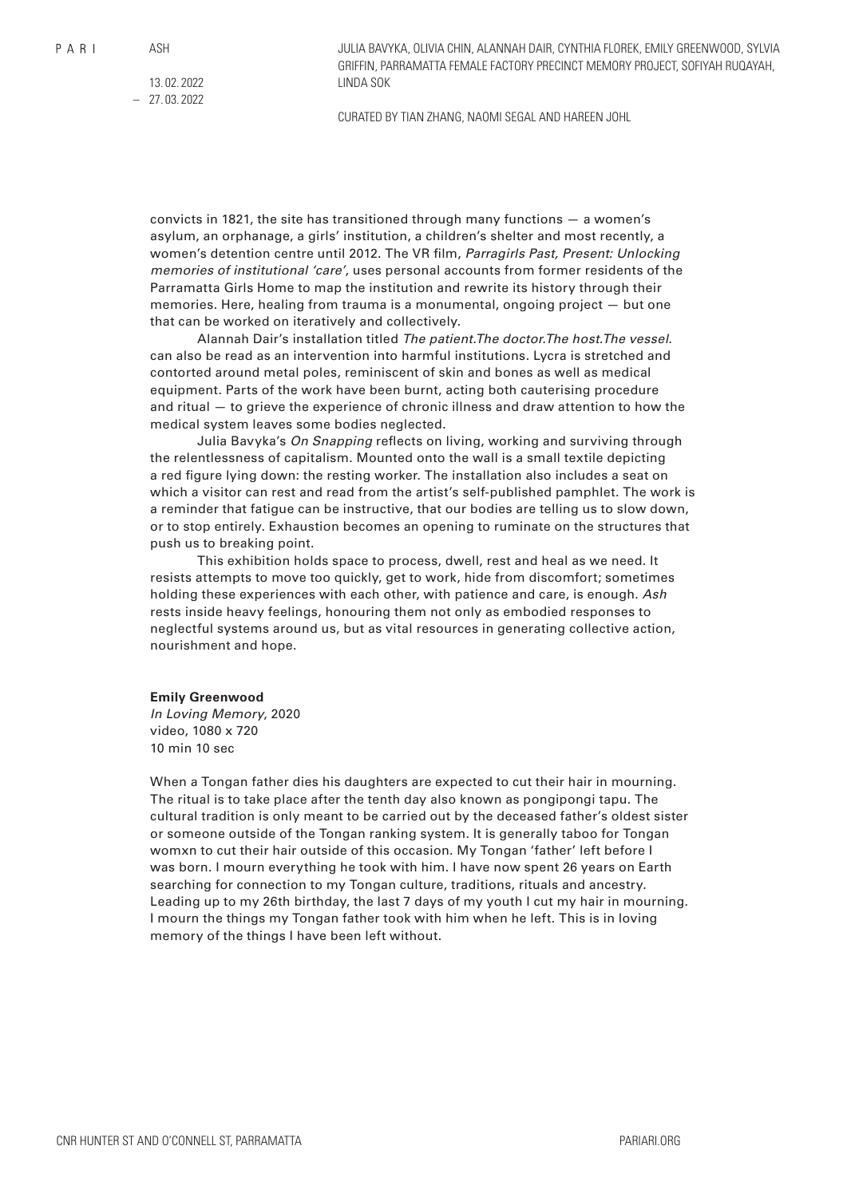ASH

JULIA BAVYKA, OLIVIA CHIN, ALANNAH DAIR, CYNTHIA FLOREK, EMILY GREENWOOD, SYLVIA GRIFFIN, PARRAMATTA FEMALE FACTORY PRECINCT MEMORY PROJECT, SOFIYAH RUQAYAH, LINDA SOK

13. 02. 2022 – 27. 03. 2022

CURATED BY TIAN ZHANG, NAOMI SEGAL AND HAREEN JOHL

convicts in 1821, the site has transitioned through many functions — a women's asylum, an orphanage, a girls' institution, a children's shelter and most recently, a women's detention centre until 2012. The VR film, *Parragirls Past, Present: Unlocking memories of institutional 'care'*, uses personal accounts from former residents of the Parramatta Girls Home to map the institution and rewrite its history through their memories. Here, healing from trauma is a monumental, ongoing project — but one that can be worked on iteratively and collectively.

Alannah Dair's installation titled *The patient.The doctor.The host.The vessel.* can also be read as an intervention into harmful institutions. Lycra is stretched and contorted around metal poles, reminiscent of skin and bones as well as medical equipment. Parts of the work have been burnt, acting both cauterising procedure and ritual — to grieve the experience of chronic illness and draw attention to how the medical system leaves some bodies neglected.

Julia Bavyka's *On Snapping* reflects on living, working and surviving through the relentlessness of capitalism. Mounted onto the wall is a small textile depicting a red figure lying down: the resting worker. The installation also includes a seat on which a visitor can rest and read from the artist's self-published pamphlet. The work is a reminder that fatigue can be instructive, that our bodies are telling us to slow down, or to stop entirely. Exhaustion becomes an opening to ruminate on the structures that push us to breaking point.

This exhibition holds space to process, dwell, rest and heal as we need. It resists attempts to move too quickly, get to work, hide from discomfort; sometimes holding these experiences with each other, with patience and care, is enough. *Ash* rests inside heavy feelings, honouring them not only as embodied responses to neglectful systems around us, but as vital resources in generating collective action, nourishment and hope.

### **Emily Greenwood**

*In Loving Memory*, 2020 video, 1080 x 720 10 min 10 sec

When a Tongan father dies his daughters are expected to cut their hair in mourning. The ritual is to take place after the tenth day also known as pongipongi tapu. The cultural tradition is only meant to be carried out by the deceased father's oldest sister or someone outside of the Tongan ranking system. It is generally taboo for Tongan womxn to cut their hair outside of this occasion. My Tongan 'father' left before I was born. I mourn everything he took with him. I have now spent 26 years on Earth searching for connection to my Tongan culture, traditions, rituals and ancestry. Leading up to my 26th birthday, the last 7 days of my youth I cut my hair in mourning. I mourn the things my Tongan father took with him when he left. This is in loving memory of the things I have been left without.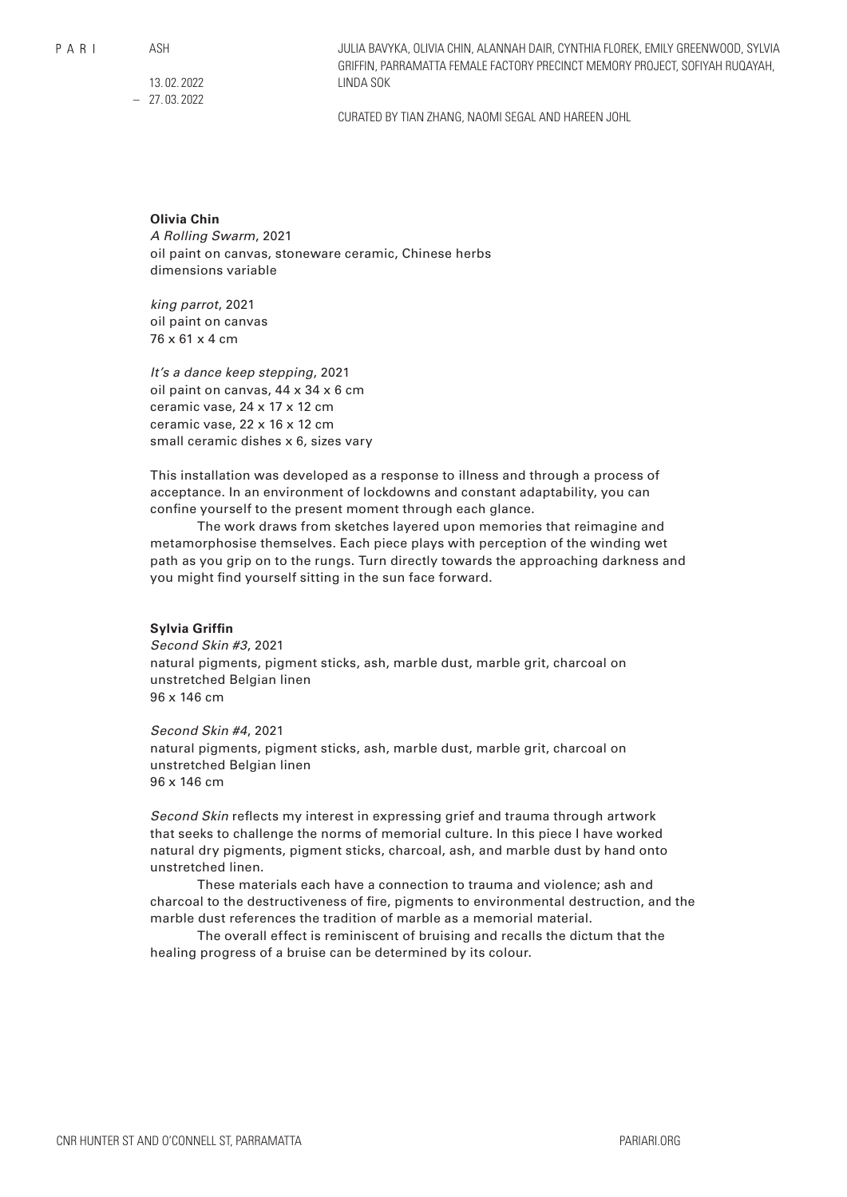$P$  A R I

ASH

13. 02. 2022 – 27. 03. 2022 JULIA BAVYKA, OLIVIA CHIN, ALANNAH DAIR, CYNTHIA FLOREK, EMILY GREENWOOD, SYLVIA GRIFFIN, PARRAMATTA FEMALE FACTORY PRECINCT MEMORY PROJECT, SOFIYAH RUQAYAH, LINDA SOK

CURATED BY TIAN ZHANG, NAOMI SEGAL AND HAREEN JOHL

## **Olivia Chin**

*A Rolling Swarm*, 2021 oil paint on canvas, stoneware ceramic, Chinese herbs dimensions variable

*king parrot*, 2021 oil paint on canvas 76 x 61 x 4 cm

*It's a dance keep stepping*, 2021 oil paint on canvas, 44 x 34 x 6 cm ceramic vase, 24 x 17 x 12 cm ceramic vase, 22 x 16 x 12 cm small ceramic dishes x 6, sizes vary

This installation was developed as a response to illness and through a process of acceptance. In an environment of lockdowns and constant adaptability, you can confine yourself to the present moment through each glance.

The work draws from sketches layered upon memories that reimagine and metamorphosise themselves. Each piece plays with perception of the winding wet path as you grip on to the rungs. Turn directly towards the approaching darkness and you might find yourself sitting in the sun face forward.

## **Sylvia Griffin**

*Second Skin #3*, 2021 natural pigments, pigment sticks, ash, marble dust, marble grit, charcoal on unstretched Belgian linen 96 x 146 cm

*Second Skin #4*, 2021 natural pigments, pigment sticks, ash, marble dust, marble grit, charcoal on unstretched Belgian linen 96 x 146 cm

*Second Skin* reflects my interest in expressing grief and trauma through artwork that seeks to challenge the norms of memorial culture. In this piece I have worked natural dry pigments, pigment sticks, charcoal, ash, and marble dust by hand onto unstretched linen.

These materials each have a connection to trauma and violence; ash and charcoal to the destructiveness of fire, pigments to environmental destruction, and the marble dust references the tradition of marble as a memorial material.

The overall effect is reminiscent of bruising and recalls the dictum that the healing progress of a bruise can be determined by its colour.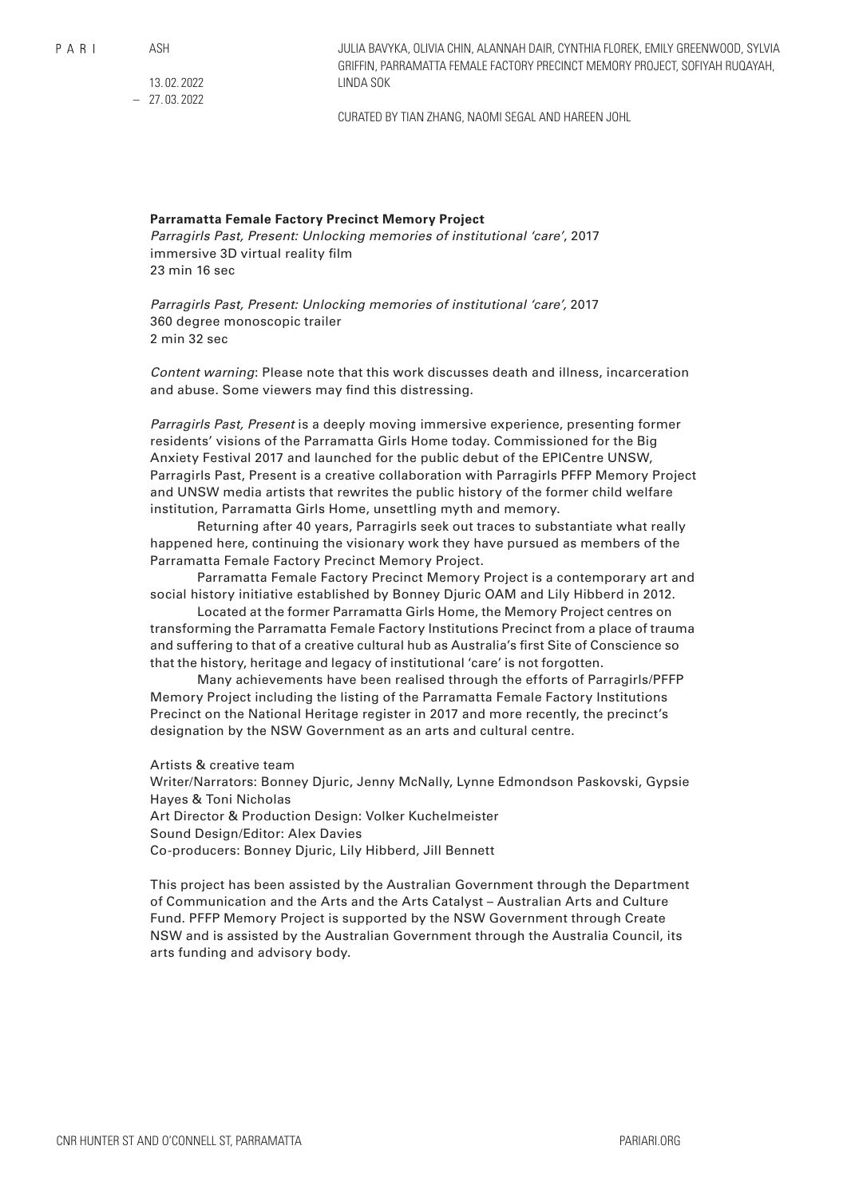$P$  A R I

ASH

13. 02. 2022 – 27. 03. 2022 JULIA BAVYKA, OLIVIA CHIN, ALANNAH DAIR, CYNTHIA FLOREK, EMILY GREENWOOD, SYLVIA GRIFFIN, PARRAMATTA FEMALE FACTORY PRECINCT MEMORY PROJECT, SOFIYAH RUQAYAH, LINDA SOK

CURATED BY TIAN ZHANG, NAOMI SEGAL AND HAREEN JOHL

# **Parramatta Female Factory Precinct Memory Project**

*Parragirls Past, Present: Unlocking memories of institutional 'care'*, 2017 immersive 3D virtual reality film 23 min 16 sec

*Parragirls Past, Present: Unlocking memories of institutional 'care',* 2017 360 degree monoscopic trailer 2 min 32 sec

*Content warning*: Please note that this work discusses death and illness, incarceration and abuse. Some viewers may find this distressing.

*Parragirls Past, Present* is a deeply moving immersive experience, presenting former residents' visions of the Parramatta Girls Home today. Commissioned for the Big Anxiety Festival 2017 and launched for the public debut of the EPICentre UNSW, Parragirls Past, Present is a creative collaboration with Parragirls PFFP Memory Project and UNSW media artists that rewrites the public history of the former child welfare institution, Parramatta Girls Home, unsettling myth and memory.

Returning after 40 years, Parragirls seek out traces to substantiate what really happened here, continuing the visionary work they have pursued as members of the Parramatta Female Factory Precinct Memory Project.

Parramatta Female Factory Precinct Memory Project is a contemporary art and social history initiative established by Bonney Djuric OAM and Lily Hibberd in 2012.

Located at the former Parramatta Girls Home, the Memory Project centres on transforming the Parramatta Female Factory Institutions Precinct from a place of trauma and suffering to that of a creative cultural hub as Australia's first Site of Conscience so that the history, heritage and legacy of institutional 'care' is not forgotten.

Many achievements have been realised through the efforts of Parragirls/PFFP Memory Project including the listing of the Parramatta Female Factory Institutions Precinct on the National Heritage register in 2017 and more recently, the precinct's designation by the NSW Government as an arts and cultural centre.

### Artists & creative team

Writer/Narrators: Bonney Djuric, Jenny McNally, Lynne Edmondson Paskovski, Gypsie Hayes & Toni Nicholas

Art Director & Production Design: Volker Kuchelmeister

Sound Design/Editor: Alex Davies

Co-producers: Bonney Djuric, Lily Hibberd, Jill Bennett

This project has been assisted by the Australian Government through the Department of Communication and the Arts and the Arts Catalyst – Australian Arts and Culture Fund. PFFP Memory Project is supported by the NSW Government through Create NSW and is assisted by the Australian Government through the Australia Council, its arts funding and advisory body.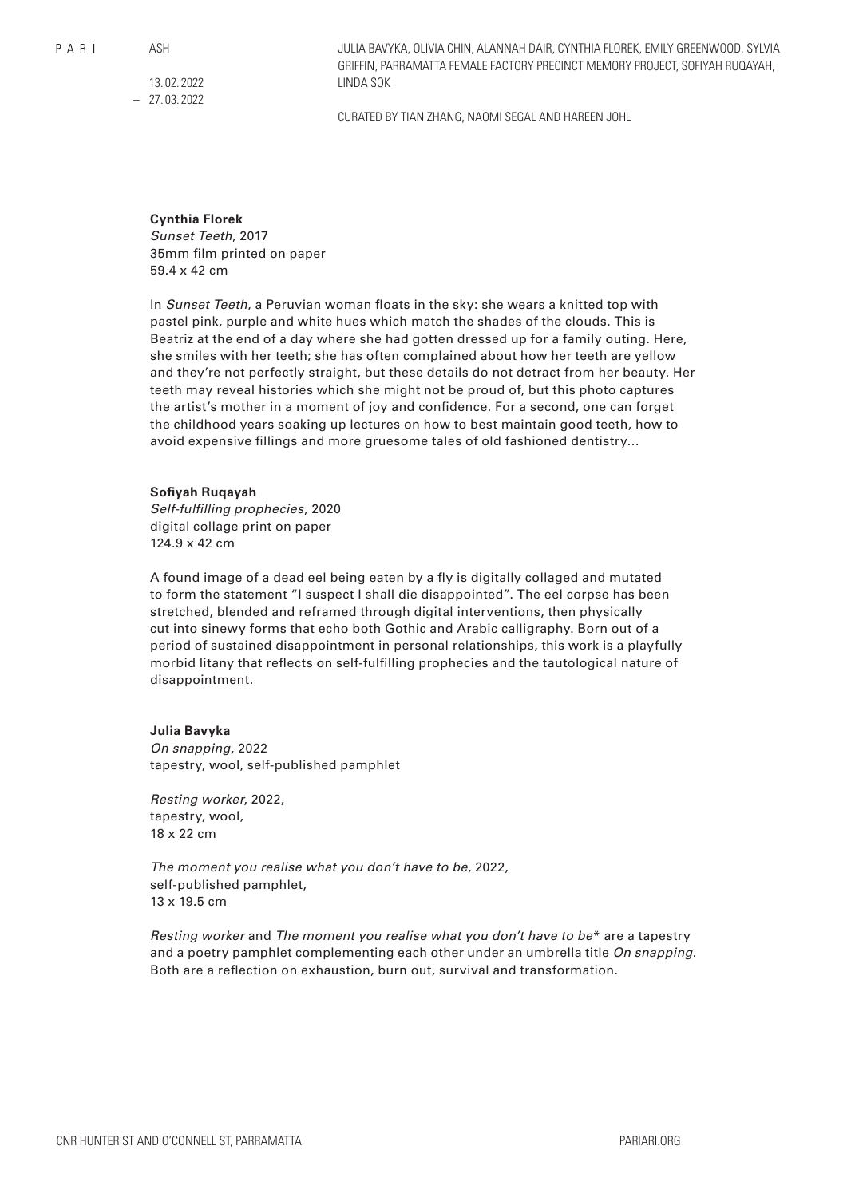$P$  A R I

ASH

13. 02. 2022 – 27. 03. 2022 JULIA BAVYKA, OLIVIA CHIN, ALANNAH DAIR, CYNTHIA FLOREK, EMILY GREENWOOD, SYLVIA GRIFFIN, PARRAMATTA FEMALE FACTORY PRECINCT MEMORY PROJECT, SOFIYAH RUQAYAH, LINDA SOK

CURATED BY TIAN ZHANG, NAOMI SEGAL AND HAREEN JOHL

# **Cynthia Florek**

*Sunset Teeth*, 2017 35mm film printed on paper 59.4 x 42 cm

In *Sunset Teeth*, a Peruvian woman floats in the sky: she wears a knitted top with pastel pink, purple and white hues which match the shades of the clouds. This is Beatriz at the end of a day where she had gotten dressed up for a family outing. Here, she smiles with her teeth; she has often complained about how her teeth are yellow and they're not perfectly straight, but these details do not detract from her beauty. Her teeth may reveal histories which she might not be proud of, but this photo captures the artist's mother in a moment of joy and confidence. For a second, one can forget the childhood years soaking up lectures on how to best maintain good teeth, how to avoid expensive fillings and more gruesome tales of old fashioned dentistry…

## **Sofiyah Ruqayah**

*Self-fulfilling prophecies*, 2020 digital collage print on paper 124.9 x 42 cm

A found image of a dead eel being eaten by a fly is digitally collaged and mutated to form the statement "I suspect I shall die disappointed". The eel corpse has been stretched, blended and reframed through digital interventions, then physically cut into sinewy forms that echo both Gothic and Arabic calligraphy. Born out of a period of sustained disappointment in personal relationships, this work is a playfully morbid litany that reflects on self-fulfilling prophecies and the tautological nature of disappointment.

# **Julia Bavyka**

*On snapping*, 2022 tapestry, wool, self-published pamphlet

*Resting worker*, 2022, tapestry, wool, 18 x 22 cm

*The moment you realise what you don't have to be*, 2022, self-published pamphlet, 13 x 19.5 cm

*Resting worker* and *The moment you realise what you don't have to be*\* are a tapestry and a poetry pamphlet complementing each other under an umbrella title *On snapping*. Both are a reflection on exhaustion, burn out, survival and transformation.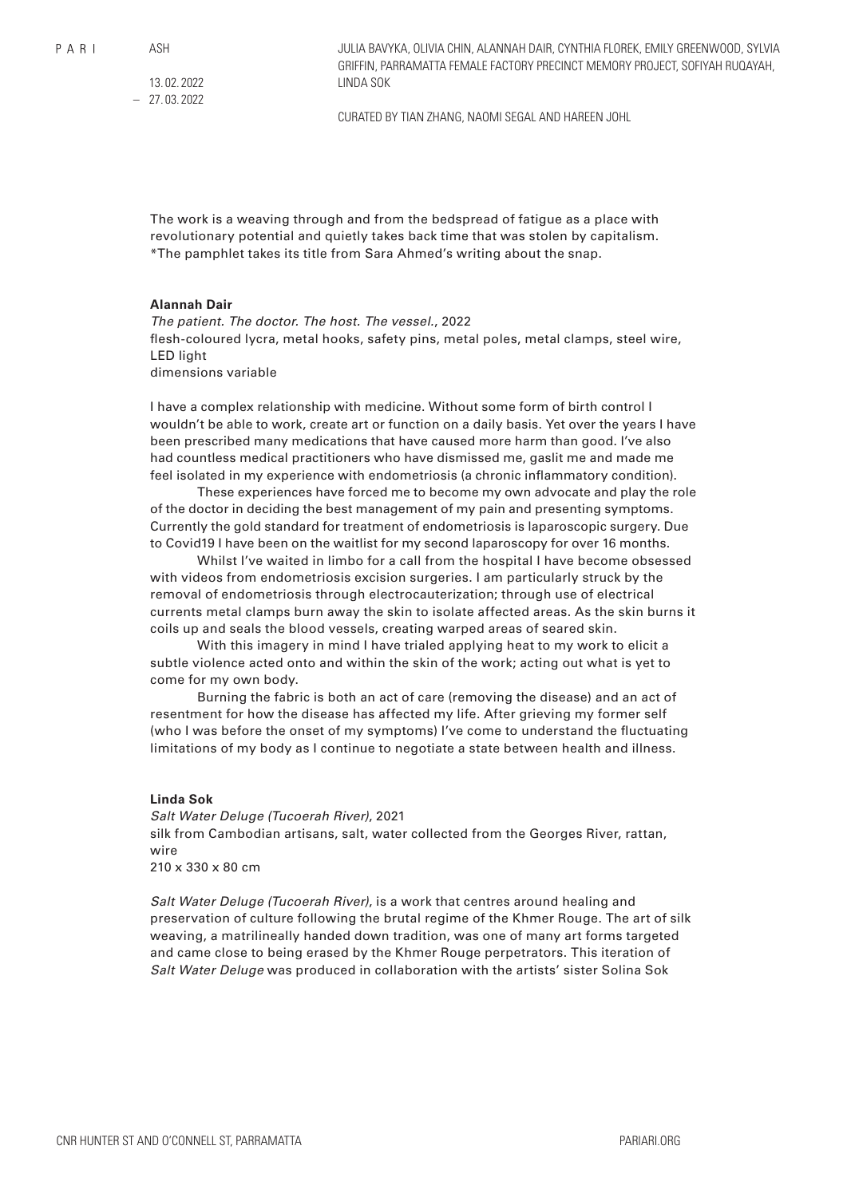ASH

13. 02. 2022 – 27. 03. 2022 JULIA BAVYKA, OLIVIA CHIN, ALANNAH DAIR, CYNTHIA FLOREK, EMILY GREENWOOD, SYLVIA GRIFFIN, PARRAMATTA FEMALE FACTORY PRECINCT MEMORY PROJECT, SOFIYAH RUQAYAH, LINDA SOK

CURATED BY TIAN ZHANG, NAOMI SEGAL AND HAREEN JOHL

The work is a weaving through and from the bedspread of fatigue as a place with revolutionary potential and quietly takes back time that was stolen by capitalism. \*The pamphlet takes its title from Sara Ahmed's writing about the snap.

## **Alannah Dair**

*The patient. The doctor. The host. The vessel.*, 2022 flesh-coloured lycra, metal hooks, safety pins, metal poles, metal clamps, steel wire, LED light dimensions variable

I have a complex relationship with medicine. Without some form of birth control I wouldn't be able to work, create art or function on a daily basis. Yet over the years I have been prescribed many medications that have caused more harm than good. I've also had countless medical practitioners who have dismissed me, gaslit me and made me feel isolated in my experience with endometriosis (a chronic inflammatory condition).

These experiences have forced me to become my own advocate and play the role of the doctor in deciding the best management of my pain and presenting symptoms. Currently the gold standard for treatment of endometriosis is laparoscopic surgery. Due to Covid19 I have been on the waitlist for my second laparoscopy for over 16 months.

Whilst I've waited in limbo for a call from the hospital I have become obsessed with videos from endometriosis excision surgeries. I am particularly struck by the removal of endometriosis through electrocauterization; through use of electrical currents metal clamps burn away the skin to isolate affected areas. As the skin burns it coils up and seals the blood vessels, creating warped areas of seared skin.

With this imagery in mind I have trialed applying heat to my work to elicit a subtle violence acted onto and within the skin of the work; acting out what is yet to come for my own body.

Burning the fabric is both an act of care (removing the disease) and an act of resentment for how the disease has affected my life. After grieving my former self (who I was before the onset of my symptoms) I've come to understand the fluctuating limitations of my body as I continue to negotiate a state between health and illness.

# **Linda Sok**

*Salt Water Deluge (Tucoerah River)*, 2021 silk from Cambodian artisans, salt, water collected from the Georges River, rattan, wire 210 x 330 x 80 cm

*Salt Water Deluge (Tucoerah River)*, is a work that centres around healing and preservation of culture following the brutal regime of the Khmer Rouge. The art of silk weaving, a matrilineally handed down tradition, was one of many art forms targeted and came close to being erased by the Khmer Rouge perpetrators. This iteration of *Salt Water Deluge* was produced in collaboration with the artists' sister Solina Sok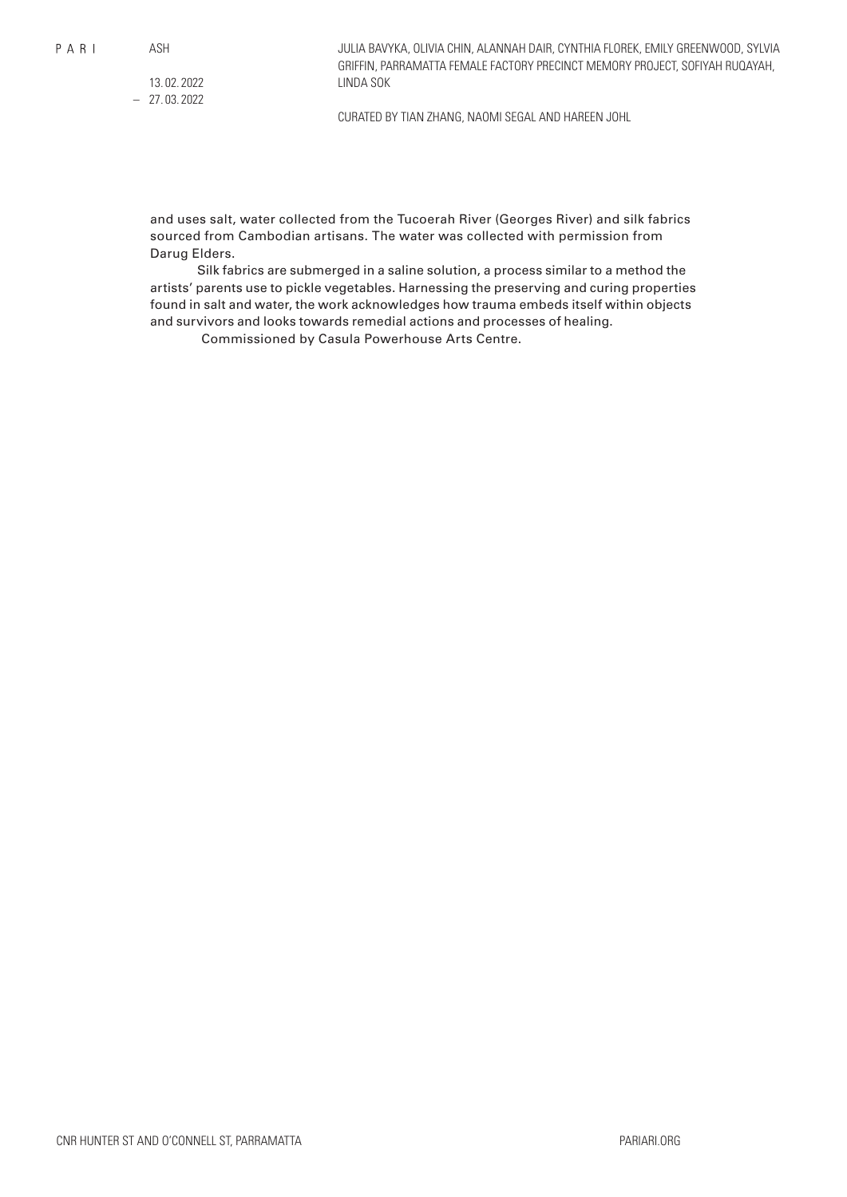ASH

13. 02. 2022 – 27. 03. 2022 JULIA BAVYKA, OLIVIA CHIN, ALANNAH DAIR, CYNTHIA FLOREK, EMILY GREENWOOD, SYLVIA GRIFFIN, PARRAMATTA FEMALE FACTORY PRECINCT MEMORY PROJECT, SOFIYAH RUQAYAH, LINDA SOK

CURATED BY TIAN ZHANG, NAOMI SEGAL AND HAREEN JOHL

and uses salt, water collected from the Tucoerah River (Georges River) and silk fabrics sourced from Cambodian artisans. The water was collected with permission from Darug Elders.

Silk fabrics are submerged in a saline solution, a process similar to a method the artists' parents use to pickle vegetables. Harnessing the preserving and curing properties found in salt and water, the work acknowledges how trauma embeds itself within objects and survivors and looks towards remedial actions and processes of healing.

Commissioned by Casula Powerhouse Arts Centre.